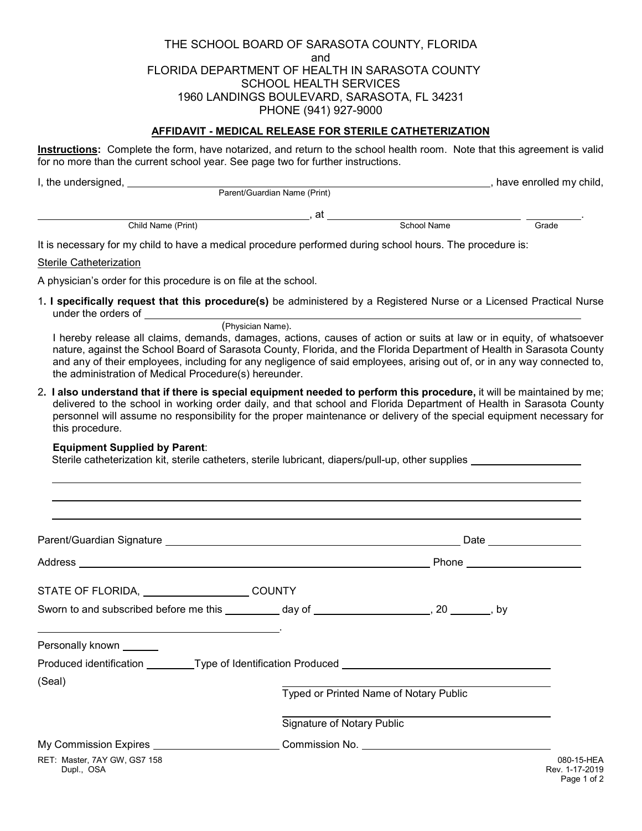THE SCHOOL BOARD OF SARASOTA COUNTY, FLORIDA and FLORIDA DEPARTMENT OF HEALTH IN SARASOTA COUNTY SCHOOL HEALTH SERVICES 1960 LANDINGS BOULEVARD, SARASOTA, FL 34231 PHONE (941) 927-9000

## **AFFIDAVIT - MEDICAL RELEASE FOR STERILE CATHETERIZATION**

**Instructions:** Complete the form, have notarized, and return to the school health room. Note that this agreement is valid for no more than the current school year. See page two for further instructions.

| I, the undersigned, |                              |             | have enrolled my child, |
|---------------------|------------------------------|-------------|-------------------------|
|                     | Parent/Guardian Name (Print) |             |                         |
|                     | at                           |             |                         |
| Child Name (Print)  |                              | School Name | Grade                   |

It is necessary for my child to have a medical procedure performed during school hours. The procedure is:

Sterile Catheterization

 $\ddot{\phantom{a}}$ 

A physician's order for this procedure is on file at the school.

1**. I specifically request that this procedure(s)** be administered by a Registered Nurse or a Licensed Practical Nurse under the orders of

## **Equipment Supplied by Parent**:

Sterile catheterization kit, sterile catheters, sterile lubricant, diapers/pull-up, other supplies

| Address Phone Phone Phone Phone Phone Phone Phone Phone Phone Phone Phone Phone Phone Phone Phone Phone Phone Phone Phone Phone Phone Phone Phone Phone Phone Phone Phone Phone Phone Phone Phone Phone Phone Phone Phone Phon |                            |                                        |  |
|--------------------------------------------------------------------------------------------------------------------------------------------------------------------------------------------------------------------------------|----------------------------|----------------------------------------|--|
| STATE OF FLORIDA, _________________________COUNTY                                                                                                                                                                              |                            |                                        |  |
| Sworn to and subscribed before me this __________ day of _____________________, 20 _______, by                                                                                                                                 |                            |                                        |  |
| the contract of the contract of the contract of the contract of the contract of the contract of the contract of<br>Personally known ______                                                                                     |                            |                                        |  |
| Produced identification _________Type of Identification Produced ________________                                                                                                                                              |                            |                                        |  |
| (Seal)                                                                                                                                                                                                                         |                            | Typed or Printed Name of Notary Public |  |
|                                                                                                                                                                                                                                | Signature of Notary Public |                                        |  |
| My Commission Expires _________________________Commission No. __________________                                                                                                                                               |                            |                                        |  |
| RET: Master, 7AY GW, GS7 158<br>Dupl., OSA                                                                                                                                                                                     |                            |                                        |  |